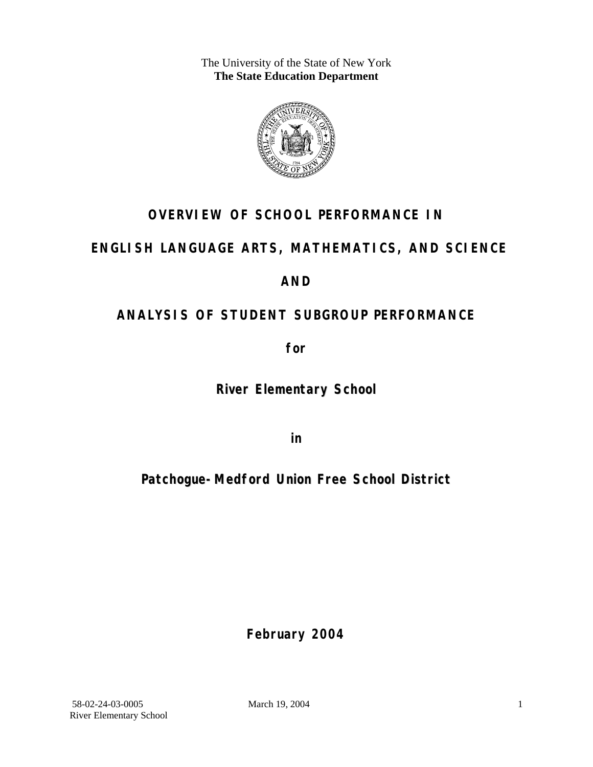The University of the State of New York **The State Education Department** 



## **OVERVIEW OF SCHOOL PERFORMANCE IN**

### **ENGLISH LANGUAGE ARTS, MATHEMATICS, AND SCIENCE**

### **AND**

## **ANALYSIS OF STUDENT SUBGROUP PERFORMANCE**

**for** 

**River Elementary School**

**in** 

## **Patchogue-Medford Union Free School District**

**February 2004**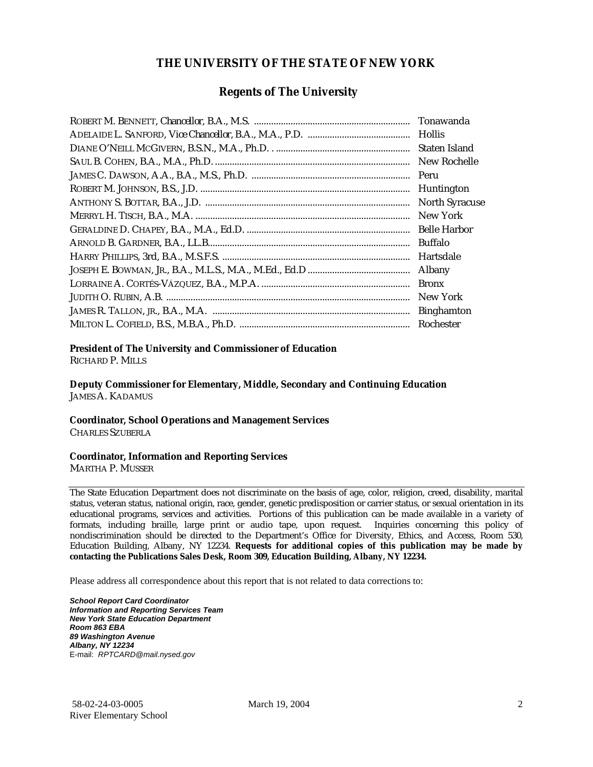#### **THE UNIVERSITY OF THE STATE OF NEW YORK**

#### **Regents of The University**

| Tonawanda             |
|-----------------------|
| Hollis                |
| Staten Island         |
| New Rochelle          |
| Peru                  |
| Huntington            |
| <b>North Syracuse</b> |
| New York              |
| <b>Belle Harbor</b>   |
| Buffalo               |
| Hartsdale             |
| Albany                |
| <b>Bronx</b>          |
| New York              |
| <b>Binghamton</b>     |
| Rochester             |

#### **President of The University and Commissioner of Education**

RICHARD P. MILLS

**Deputy Commissioner for Elementary, Middle, Secondary and Continuing Education**  JAMES A. KADAMUS

#### **Coordinator, School Operations and Management Services**

CHARLES SZUBERLA

#### **Coordinator, Information and Reporting Services**

MARTHA P. MUSSER

The State Education Department does not discriminate on the basis of age, color, religion, creed, disability, marital status, veteran status, national origin, race, gender, genetic predisposition or carrier status, or sexual orientation in its educational programs, services and activities. Portions of this publication can be made available in a variety of formats, including braille, large print or audio tape, upon request. Inquiries concerning this policy of nondiscrimination should be directed to the Department's Office for Diversity, Ethics, and Access, Room 530, Education Building, Albany, NY 12234. **Requests for additional copies of this publication may be made by contacting the Publications Sales Desk, Room 309, Education Building, Albany, NY 12234.** 

Please address all correspondence about this report that is not related to data corrections to:

*School Report Card Coordinator Information and Reporting Services Team New York State Education Department Room 863 EBA 89 Washington Avenue Albany, NY 12234*  E-mail: *RPTCARD@mail.nysed.gov*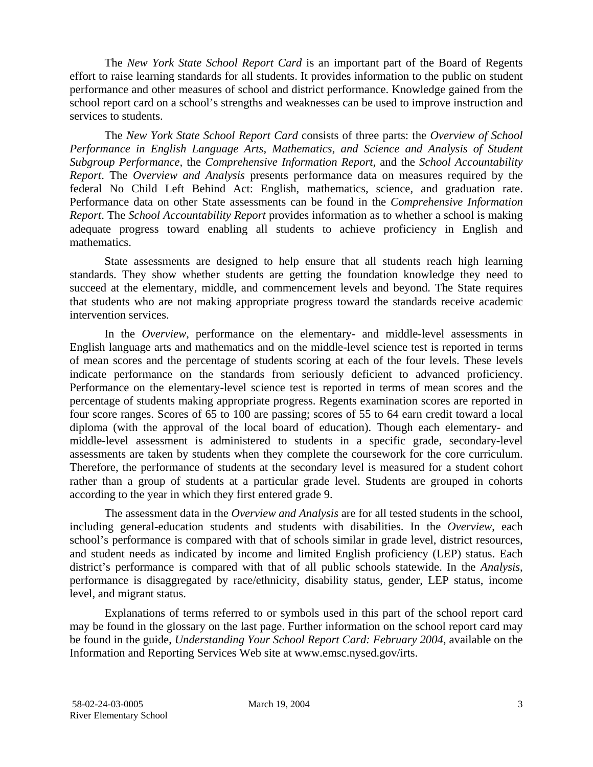The *New York State School Report Card* is an important part of the Board of Regents effort to raise learning standards for all students. It provides information to the public on student performance and other measures of school and district performance. Knowledge gained from the school report card on a school's strengths and weaknesses can be used to improve instruction and services to students.

The *New York State School Report Card* consists of three parts: the *Overview of School Performance in English Language Arts, Mathematics, and Science and Analysis of Student Subgroup Performance,* the *Comprehensive Information Report,* and the *School Accountability Report*. The *Overview and Analysis* presents performance data on measures required by the federal No Child Left Behind Act: English, mathematics, science, and graduation rate. Performance data on other State assessments can be found in the *Comprehensive Information Report*. The *School Accountability Report* provides information as to whether a school is making adequate progress toward enabling all students to achieve proficiency in English and mathematics.

State assessments are designed to help ensure that all students reach high learning standards. They show whether students are getting the foundation knowledge they need to succeed at the elementary, middle, and commencement levels and beyond. The State requires that students who are not making appropriate progress toward the standards receive academic intervention services.

In the *Overview*, performance on the elementary- and middle-level assessments in English language arts and mathematics and on the middle-level science test is reported in terms of mean scores and the percentage of students scoring at each of the four levels. These levels indicate performance on the standards from seriously deficient to advanced proficiency. Performance on the elementary-level science test is reported in terms of mean scores and the percentage of students making appropriate progress. Regents examination scores are reported in four score ranges. Scores of 65 to 100 are passing; scores of 55 to 64 earn credit toward a local diploma (with the approval of the local board of education). Though each elementary- and middle-level assessment is administered to students in a specific grade, secondary-level assessments are taken by students when they complete the coursework for the core curriculum. Therefore, the performance of students at the secondary level is measured for a student cohort rather than a group of students at a particular grade level. Students are grouped in cohorts according to the year in which they first entered grade 9.

The assessment data in the *Overview and Analysis* are for all tested students in the school, including general-education students and students with disabilities. In the *Overview*, each school's performance is compared with that of schools similar in grade level, district resources, and student needs as indicated by income and limited English proficiency (LEP) status. Each district's performance is compared with that of all public schools statewide. In the *Analysis*, performance is disaggregated by race/ethnicity, disability status, gender, LEP status, income level, and migrant status.

Explanations of terms referred to or symbols used in this part of the school report card may be found in the glossary on the last page. Further information on the school report card may be found in the guide, *Understanding Your School Report Card: February 2004*, available on the Information and Reporting Services Web site at www.emsc.nysed.gov/irts.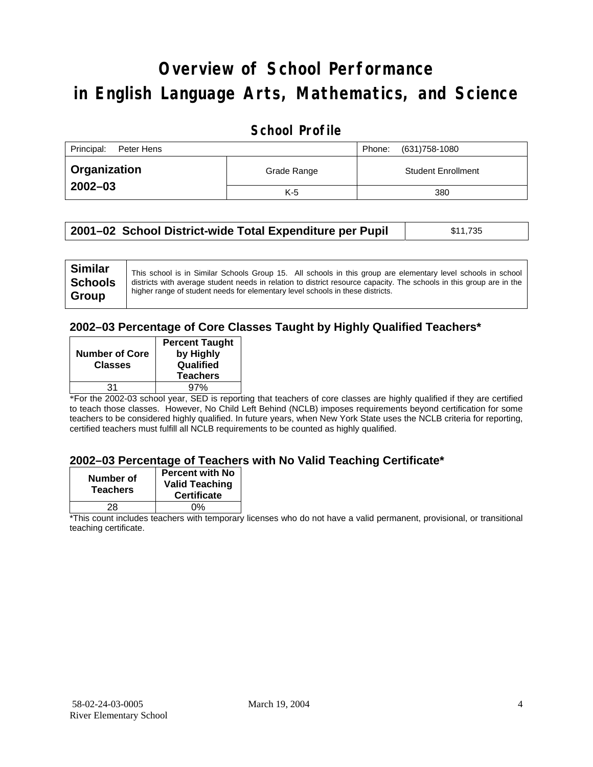# **Overview of School Performance in English Language Arts, Mathematics, and Science**

### **School Profile**

| Principal:<br>Peter Hens |             | (631)758-1080<br>Phone:   |
|--------------------------|-------------|---------------------------|
| <b>Organization</b>      | Grade Range | <b>Student Enrollment</b> |
| $2002 - 03$              | $K-5$       | 380                       |

|  | 2001–02 School District-wide Total Expenditure per Pupil | \$11,735 |
|--|----------------------------------------------------------|----------|
|--|----------------------------------------------------------|----------|

### **2002–03 Percentage of Core Classes Taught by Highly Qualified Teachers\***

| <b>Percent Taught</b><br>by Highly<br>Qualified<br><b>Teachers</b> |
|--------------------------------------------------------------------|
|                                                                    |
| 97%                                                                |
|                                                                    |

\*For the 2002-03 school year, SED is reporting that teachers of core classes are highly qualified if they are certified to teach those classes. However, No Child Left Behind (NCLB) imposes requirements beyond certification for some teachers to be considered highly qualified. In future years, when New York State uses the NCLB criteria for reporting, certified teachers must fulfill all NCLB requirements to be counted as highly qualified.

#### **2002–03 Percentage of Teachers with No Valid Teaching Certificate\***

| Number of<br><b>Teachers</b> | <b>Percent with No</b><br><b>Valid Teaching</b><br><b>Certificate</b> |
|------------------------------|-----------------------------------------------------------------------|
| 28                           | ሰ%                                                                    |

\*This count includes teachers with temporary licenses who do not have a valid permanent, provisional, or transitional teaching certificate.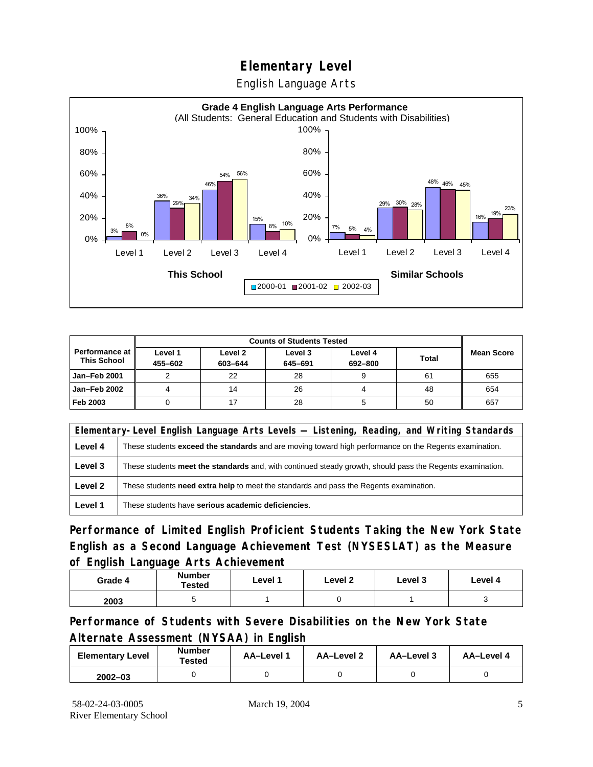English Language Arts



|                                               |                    | <b>Counts of Students Tested</b> |                    |                    |              |                   |
|-----------------------------------------------|--------------------|----------------------------------|--------------------|--------------------|--------------|-------------------|
| <b>Performance at I</b><br><b>This School</b> | Level 1<br>455-602 | Level 2<br>603-644               | Level 3<br>645-691 | Level 4<br>692-800 | <b>Total</b> | <b>Mean Score</b> |
| Jan-Feb 2001                                  |                    | 22                               | 28                 |                    | 61           | 655               |
| Jan-Feb 2002                                  |                    | 14                               | 26                 | 4                  | 48           | 654               |
| Feb 2003                                      |                    |                                  | 28                 |                    | 50           | 657               |

|         | Elementary-Level English Language Arts Levels — Listening, Reading, and Writing Standards                 |  |  |  |
|---------|-----------------------------------------------------------------------------------------------------------|--|--|--|
| Level 4 | These students exceed the standards and are moving toward high performance on the Regents examination.    |  |  |  |
| Level 3 | These students meet the standards and, with continued steady growth, should pass the Regents examination. |  |  |  |
| Level 2 | These students <b>need extra help</b> to meet the standards and pass the Regents examination.             |  |  |  |
| Level 1 | These students have serious academic deficiencies.                                                        |  |  |  |

**Performance of Limited English Proficient Students Taking the New York State English as a Second Language Achievement Test (NYSESLAT) as the Measure of English Language Arts Achievement**

| Grade 4 | <b>Number</b><br><b>Tested</b> | Level 1 | Level 2 | Level 3 | Level 4 |
|---------|--------------------------------|---------|---------|---------|---------|
| 2003    |                                |         |         |         |         |

**Performance of Students with Severe Disabilities on the New York State Alternate Assessment (NYSAA) in English** 

| <b>Elementary Level</b> | <b>Number</b><br>Tested | AA-Level 1 | AA-Level 2 | AA-Level 3 | AA-Level 4 |
|-------------------------|-------------------------|------------|------------|------------|------------|
| $2002 - 03$             |                         |            |            |            |            |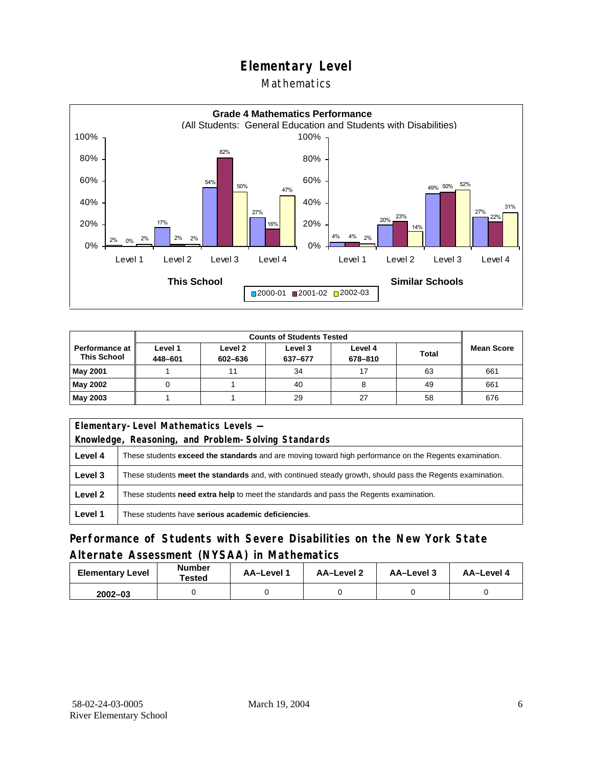### Mathematics



|                                        |                    | <b>Counts of Students Tested</b> |                    |                    |              |                   |  |
|----------------------------------------|--------------------|----------------------------------|--------------------|--------------------|--------------|-------------------|--|
| Performance at I<br><b>This School</b> | Level 1<br>448-601 | Level 2<br>602-636               | Level 3<br>637-677 | Level 4<br>678-810 | <b>Total</b> | <b>Mean Score</b> |  |
| May 2001                               |                    |                                  | 34                 | 17                 | 63           | 661               |  |
| May 2002                               |                    |                                  | 40                 |                    | 49           | 661               |  |
| May 2003                               |                    |                                  | 29                 | 27                 | 58           | 676               |  |

| Elementary-Level Mathematics Levels -               |                                                                                                               |  |  |
|-----------------------------------------------------|---------------------------------------------------------------------------------------------------------------|--|--|
| Knowledge, Reasoning, and Problem-Solving Standards |                                                                                                               |  |  |
| Level 4                                             | These students <b>exceed the standards</b> and are moving toward high performance on the Regents examination. |  |  |
| Level 3                                             | These students meet the standards and, with continued steady growth, should pass the Regents examination.     |  |  |
| Level 2                                             | These students need extra help to meet the standards and pass the Regents examination.                        |  |  |
| Level 1                                             | These students have serious academic deficiencies.                                                            |  |  |

### **Performance of Students with Severe Disabilities on the New York State Alternate Assessment (NYSAA) in Mathematics**

| <b>Elementary Level</b> | <b>Number</b><br>Tested | AA-Level 1 | AA-Level 2 | AA-Level 3 | AA-Level 4 |  |
|-------------------------|-------------------------|------------|------------|------------|------------|--|
| $2002 - 03$             |                         |            |            |            |            |  |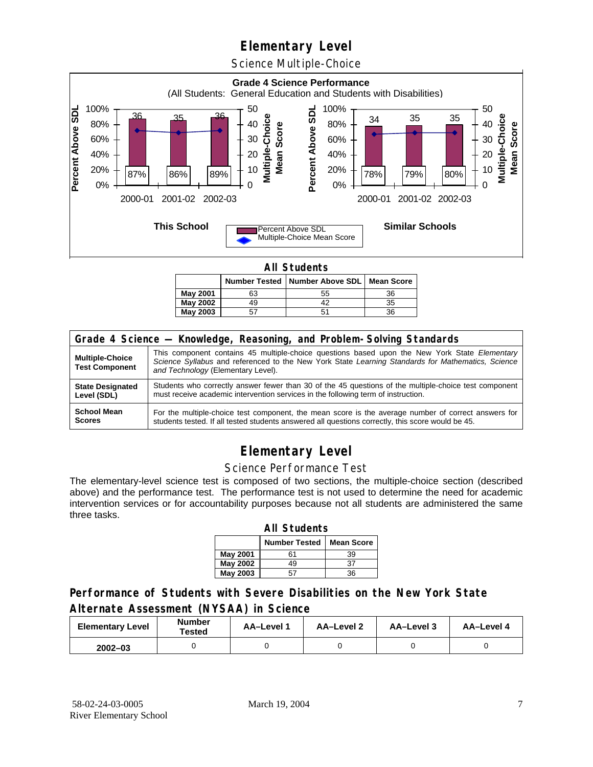Science Multiple-Choice



**All Students** 

|          |    | Number Tested   Number Above SDL   Mean Score |    |  |  |  |  |  |
|----------|----|-----------------------------------------------|----|--|--|--|--|--|
| May 2001 | 63 | 55                                            | 36 |  |  |  |  |  |
| May 2002 | 49 |                                               | 35 |  |  |  |  |  |
| May 2003 |    |                                               | 36 |  |  |  |  |  |

| Grade 4 Science - Knowledge, Reasoning, and Problem-Solving Standards |                                                                                                                                                                                                                                          |  |  |  |  |  |
|-----------------------------------------------------------------------|------------------------------------------------------------------------------------------------------------------------------------------------------------------------------------------------------------------------------------------|--|--|--|--|--|
| <b>Multiple-Choice</b><br><b>Test Component</b>                       | This component contains 45 multiple-choice questions based upon the New York State Elementary<br>Science Syllabus and referenced to the New York State Learning Standards for Mathematics, Science<br>and Technology (Elementary Level). |  |  |  |  |  |
| <b>State Designated</b>                                               | Students who correctly answer fewer than 30 of the 45 questions of the multiple-choice test component                                                                                                                                    |  |  |  |  |  |
| Level (SDL)                                                           | must receive academic intervention services in the following term of instruction.                                                                                                                                                        |  |  |  |  |  |
| <b>School Mean</b>                                                    | For the multiple-choice test component, the mean score is the average number of correct answers for                                                                                                                                      |  |  |  |  |  |
| <b>Scores</b>                                                         | students tested. If all tested students answered all questions correctly, this score would be 45.                                                                                                                                        |  |  |  |  |  |

## **Elementary Level**

#### Science Performance Test

The elementary-level science test is composed of two sections, the multiple-choice section (described above) and the performance test. The performance test is not used to determine the need for academic intervention services or for accountability purposes because not all students are administered the same three tasks.

| <b>All Students</b>                       |    |    |  |  |  |  |  |  |
|-------------------------------------------|----|----|--|--|--|--|--|--|
| <b>Number Tested</b><br><b>Mean Score</b> |    |    |  |  |  |  |  |  |
| May 2001                                  | 61 | 39 |  |  |  |  |  |  |
| May 2002                                  | 49 | 37 |  |  |  |  |  |  |
| <b>May 2003</b>                           |    | 36 |  |  |  |  |  |  |

#### **Performance of Students with Severe Disabilities on the New York State Alternate Assessment (NYSAA) in Science**

| <b>Elementary Level</b> | <b>Number</b><br>Tested | AA-Level 1 | <b>AA-Level 2</b> | AA-Level 3 | AA-Level 4 |  |
|-------------------------|-------------------------|------------|-------------------|------------|------------|--|
| $2002 - 03$             |                         |            |                   |            |            |  |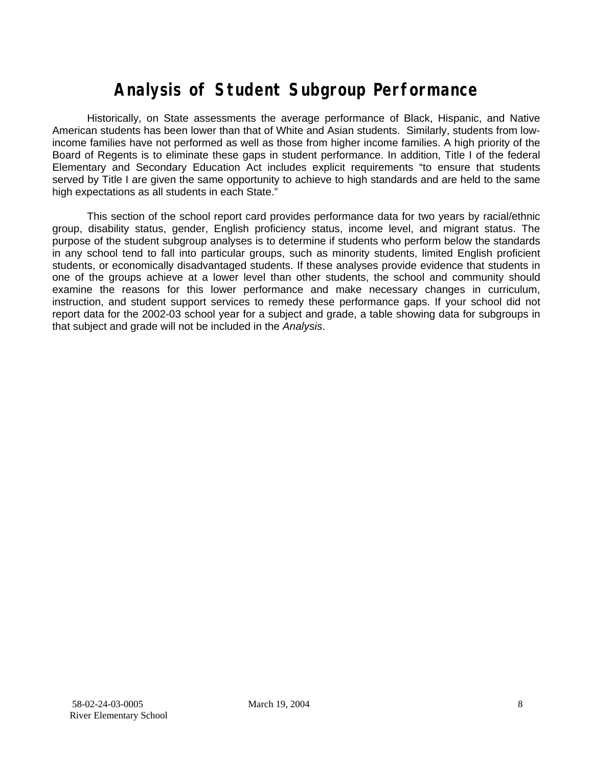# **Analysis of Student Subgroup Performance**

Historically, on State assessments the average performance of Black, Hispanic, and Native American students has been lower than that of White and Asian students. Similarly, students from lowincome families have not performed as well as those from higher income families. A high priority of the Board of Regents is to eliminate these gaps in student performance. In addition, Title I of the federal Elementary and Secondary Education Act includes explicit requirements "to ensure that students served by Title I are given the same opportunity to achieve to high standards and are held to the same high expectations as all students in each State."

This section of the school report card provides performance data for two years by racial/ethnic group, disability status, gender, English proficiency status, income level, and migrant status. The purpose of the student subgroup analyses is to determine if students who perform below the standards in any school tend to fall into particular groups, such as minority students, limited English proficient students, or economically disadvantaged students. If these analyses provide evidence that students in one of the groups achieve at a lower level than other students, the school and community should examine the reasons for this lower performance and make necessary changes in curriculum, instruction, and student support services to remedy these performance gaps. If your school did not report data for the 2002-03 school year for a subject and grade, a table showing data for subgroups in that subject and grade will not be included in the *Analysis*.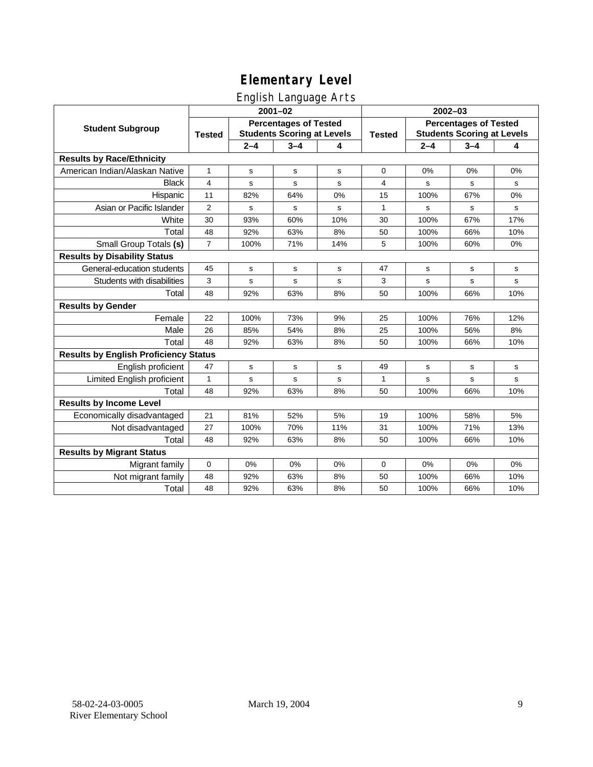### English Language Arts

|                                              | ◡<br>$2001 - 02$                                                                   |             |             |               |                                                                   | $2002 - 03$ |             |             |  |
|----------------------------------------------|------------------------------------------------------------------------------------|-------------|-------------|---------------|-------------------------------------------------------------------|-------------|-------------|-------------|--|
| <b>Student Subgroup</b>                      | <b>Percentages of Tested</b><br><b>Students Scoring at Levels</b><br><b>Tested</b> |             |             | <b>Tested</b> | <b>Percentages of Tested</b><br><b>Students Scoring at Levels</b> |             |             |             |  |
|                                              |                                                                                    | $2 - 4$     | $3 - 4$     | 4             |                                                                   | $2 - 4$     | $3 - 4$     | 4           |  |
| <b>Results by Race/Ethnicity</b>             |                                                                                    |             |             |               |                                                                   |             |             |             |  |
| American Indian/Alaskan Native               | 1                                                                                  | $\mathbf s$ | s           | s             | $\mathbf 0$                                                       | 0%          | 0%          | 0%          |  |
| <b>Black</b>                                 | 4                                                                                  | s           | s           | s             | $\overline{4}$                                                    | s           | s           | s           |  |
| Hispanic                                     | 11                                                                                 | 82%         | 64%         | 0%            | 15                                                                | 100%        | 67%         | 0%          |  |
| Asian or Pacific Islander                    | 2                                                                                  | s           | $\mathbf S$ | s             | 1                                                                 | s           | s           | $\mathbf s$ |  |
| White                                        | 30                                                                                 | 93%         | 60%         | 10%           | 30                                                                | 100%        | 67%         | 17%         |  |
| Total                                        | 48                                                                                 | 92%         | 63%         | 8%            | 50                                                                | 100%        | 66%         | 10%         |  |
| Small Group Totals (s)                       | $\overline{7}$                                                                     | 100%        | 71%         | 14%           | 5                                                                 | 100%        | 60%         | 0%          |  |
| <b>Results by Disability Status</b>          |                                                                                    |             |             |               |                                                                   |             |             |             |  |
| General-education students                   | 45                                                                                 | s           | s           | s             | 47                                                                | s           | s           | s           |  |
| Students with disabilities                   | 3                                                                                  | s           | s           | s             | 3                                                                 | s           | $\mathbf s$ | $\mathbf s$ |  |
| Total                                        | 48                                                                                 | 92%         | 63%         | 8%            | 50                                                                | 100%        | 66%         | 10%         |  |
| <b>Results by Gender</b>                     |                                                                                    |             |             |               |                                                                   |             |             |             |  |
| Female                                       | 22                                                                                 | 100%        | 73%         | 9%            | 25                                                                | 100%        | 76%         | 12%         |  |
| Male                                         | 26                                                                                 | 85%         | 54%         | 8%            | 25                                                                | 100%        | 56%         | 8%          |  |
| Total                                        | 48                                                                                 | 92%         | 63%         | 8%            | 50                                                                | 100%        | 66%         | 10%         |  |
| <b>Results by English Proficiency Status</b> |                                                                                    |             |             |               |                                                                   |             |             |             |  |
| English proficient                           | 47                                                                                 | $\mathbf s$ | $\mathbf s$ | s             | 49                                                                | s           | $\mathbf s$ | $\mathbf s$ |  |
| Limited English proficient                   | $\mathbf{1}$                                                                       | s           | s           | s             | $\mathbf{1}$                                                      | s           | s           | s           |  |
| Total                                        | 48                                                                                 | 92%         | 63%         | 8%            | 50                                                                | 100%        | 66%         | 10%         |  |
| <b>Results by Income Level</b>               |                                                                                    |             |             |               |                                                                   |             |             |             |  |
| Economically disadvantaged                   | 21                                                                                 | 81%         | 52%         | 5%            | 19                                                                | 100%        | 58%         | 5%          |  |
| Not disadvantaged                            | 27                                                                                 | 100%        | 70%         | 11%           | 31                                                                | 100%        | 71%         | 13%         |  |
| Total                                        | 48                                                                                 | 92%         | 63%         | 8%            | 50                                                                | 100%        | 66%         | 10%         |  |
| <b>Results by Migrant Status</b>             |                                                                                    |             |             |               |                                                                   |             |             |             |  |
| Migrant family                               | 0                                                                                  | 0%          | 0%          | 0%            | $\mathbf 0$                                                       | 0%          | 0%          | 0%          |  |
| Not migrant family                           | 48                                                                                 | 92%         | 63%         | 8%            | 50                                                                | 100%        | 66%         | 10%         |  |
| Total                                        | 48                                                                                 | 92%         | 63%         | 8%            | 50                                                                | 100%        | 66%         | 10%         |  |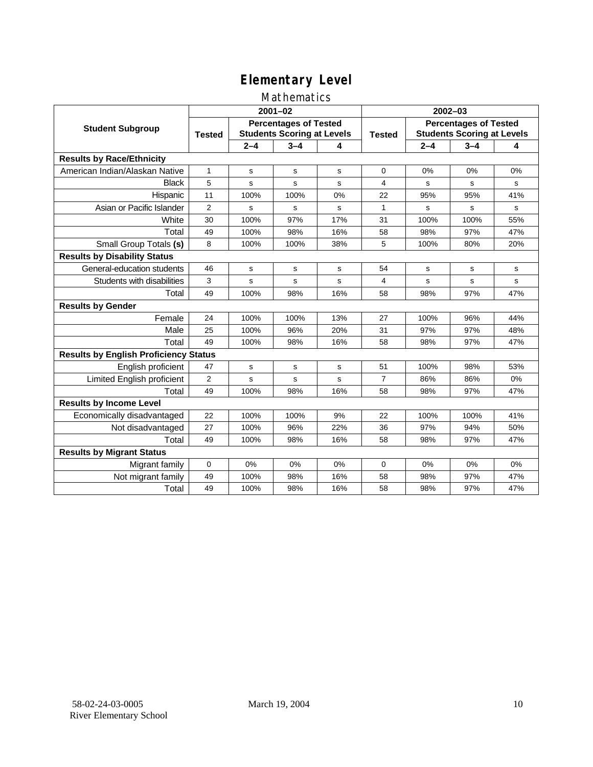### Mathematics

|                                              | $2001 - 02$                                                                        |         |              |               | $2002 - 03$                                                       |         |         |     |
|----------------------------------------------|------------------------------------------------------------------------------------|---------|--------------|---------------|-------------------------------------------------------------------|---------|---------|-----|
| <b>Student Subgroup</b>                      | <b>Percentages of Tested</b><br><b>Students Scoring at Levels</b><br><b>Tested</b> |         |              | <b>Tested</b> | <b>Percentages of Tested</b><br><b>Students Scoring at Levels</b> |         |         |     |
|                                              |                                                                                    | $2 - 4$ | $3 - 4$      | 4             |                                                                   | $2 - 4$ | $3 - 4$ | 4   |
| <b>Results by Race/Ethnicity</b>             |                                                                                    |         |              |               |                                                                   |         |         |     |
| American Indian/Alaskan Native               | $\mathbf{1}$                                                                       | s       | s            | s             | $\Omega$                                                          | 0%      | 0%      | 0%  |
| <b>Black</b>                                 | 5                                                                                  | s       | s            | s             | 4                                                                 | s       | s       | s   |
| Hispanic                                     | 11                                                                                 | 100%    | 100%         | 0%            | 22                                                                | 95%     | 95%     | 41% |
| Asian or Pacific Islander                    | $\overline{2}$                                                                     | s       | s            | s             | 1                                                                 | s       | s       | s   |
| White                                        | 30                                                                                 | 100%    | 97%          | 17%           | 31                                                                | 100%    | 100%    | 55% |
| Total                                        | 49                                                                                 | 100%    | 98%          | 16%           | 58                                                                | 98%     | 97%     | 47% |
| Small Group Totals (s)                       | 8                                                                                  | 100%    | 100%         | 38%           | 5                                                                 | 100%    | 80%     | 20% |
| <b>Results by Disability Status</b>          |                                                                                    |         |              |               |                                                                   |         |         |     |
| General-education students                   | 46                                                                                 | s       | s            | s             | 54                                                                | s       | s       | s   |
| Students with disabilities                   | 3                                                                                  | s       | s            | s             | 4                                                                 | s       | s       | s   |
| Total                                        | 49                                                                                 | 100%    | 98%          | 16%           | 58                                                                | 98%     | 97%     | 47% |
| <b>Results by Gender</b>                     |                                                                                    |         |              |               |                                                                   |         |         |     |
| Female                                       | 24                                                                                 | 100%    | 100%         | 13%           | 27                                                                | 100%    | 96%     | 44% |
| Male                                         | 25                                                                                 | 100%    | 96%          | 20%           | 31                                                                | 97%     | 97%     | 48% |
| Total                                        | 49                                                                                 | 100%    | 98%          | 16%           | 58                                                                | 98%     | 97%     | 47% |
| <b>Results by English Proficiency Status</b> |                                                                                    |         |              |               |                                                                   |         |         |     |
| English proficient                           | 47                                                                                 | s       | s            | s             | 51                                                                | 100%    | 98%     | 53% |
| Limited English proficient                   | $\overline{2}$                                                                     | s       | $\mathsf{s}$ | s             | $\overline{7}$                                                    | 86%     | 86%     | 0%  |
| Total                                        | 49                                                                                 | 100%    | 98%          | 16%           | 58                                                                | 98%     | 97%     | 47% |
| <b>Results by Income Level</b>               |                                                                                    |         |              |               |                                                                   |         |         |     |
| Economically disadvantaged                   | 22                                                                                 | 100%    | 100%         | 9%            | 22                                                                | 100%    | 100%    | 41% |
| Not disadvantaged                            | 27                                                                                 | 100%    | 96%          | 22%           | 36                                                                | 97%     | 94%     | 50% |
| Total                                        | 49                                                                                 | 100%    | 98%          | 16%           | 58                                                                | 98%     | 97%     | 47% |
| <b>Results by Migrant Status</b>             |                                                                                    |         |              |               |                                                                   |         |         |     |
| Migrant family                               | 0                                                                                  | 0%      | 0%           | 0%            | $\mathbf 0$                                                       | 0%      | $0\%$   | 0%  |
| Not migrant family                           | 49                                                                                 | 100%    | 98%          | 16%           | 58                                                                | 98%     | 97%     | 47% |
| Total                                        | 49                                                                                 | 100%    | 98%          | 16%           | 58                                                                | 98%     | 97%     | 47% |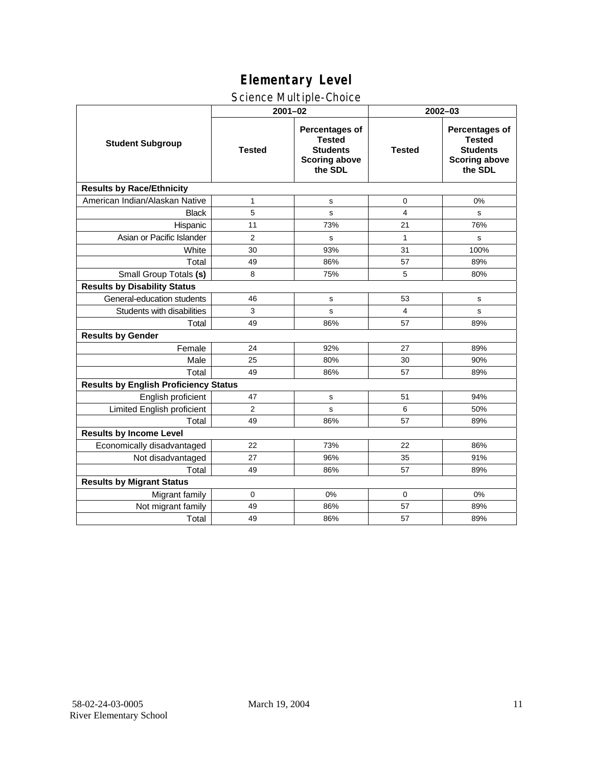### Science Multiple-Choice

|                                              | $2001 - 02$    |                                                                                       | $2002 - 03$   |                                                                                              |  |  |  |
|----------------------------------------------|----------------|---------------------------------------------------------------------------------------|---------------|----------------------------------------------------------------------------------------------|--|--|--|
| <b>Student Subgroup</b>                      | <b>Tested</b>  | Percentages of<br><b>Tested</b><br><b>Students</b><br><b>Scoring above</b><br>the SDL | <b>Tested</b> | <b>Percentages of</b><br><b>Tested</b><br><b>Students</b><br><b>Scoring above</b><br>the SDL |  |  |  |
| <b>Results by Race/Ethnicity</b>             |                |                                                                                       |               |                                                                                              |  |  |  |
| American Indian/Alaskan Native               | 1              | s                                                                                     | 0             | 0%                                                                                           |  |  |  |
| <b>Black</b>                                 | 5              | s                                                                                     | 4             | s                                                                                            |  |  |  |
| Hispanic                                     | 11             | 73%                                                                                   | 21            | 76%                                                                                          |  |  |  |
| Asian or Pacific Islander                    | $\overline{2}$ | s                                                                                     | $\mathbf{1}$  | s                                                                                            |  |  |  |
| White                                        | 30             | 93%                                                                                   | 31            | 100%                                                                                         |  |  |  |
| Total                                        | 49             | 86%                                                                                   | 57            | 89%                                                                                          |  |  |  |
| Small Group Totals (s)                       | 8              | 75%                                                                                   | 5             | 80%                                                                                          |  |  |  |
| <b>Results by Disability Status</b>          |                |                                                                                       |               |                                                                                              |  |  |  |
| General-education students                   | 46             | s                                                                                     | 53            | s                                                                                            |  |  |  |
| Students with disabilities                   | 3              | s                                                                                     | 4             | s                                                                                            |  |  |  |
| Total                                        | 49             | 86%                                                                                   | 57            | 89%                                                                                          |  |  |  |
| <b>Results by Gender</b>                     |                |                                                                                       |               |                                                                                              |  |  |  |
| Female                                       | 24             | 92%                                                                                   | 27            | 89%                                                                                          |  |  |  |
| Male                                         | 25             | 80%                                                                                   | 30            | 90%                                                                                          |  |  |  |
| Total                                        | 49             | 86%                                                                                   | 57            | 89%                                                                                          |  |  |  |
| <b>Results by English Proficiency Status</b> |                |                                                                                       |               |                                                                                              |  |  |  |
| English proficient                           | 47             | s                                                                                     | 51            | 94%                                                                                          |  |  |  |
| Limited English proficient                   | $\overline{2}$ | s                                                                                     | 6             | 50%                                                                                          |  |  |  |
| Total                                        | 49             | 86%                                                                                   | 57            | 89%                                                                                          |  |  |  |
| <b>Results by Income Level</b>               |                |                                                                                       |               |                                                                                              |  |  |  |
| Economically disadvantaged                   | 22             | 73%                                                                                   | 22            | 86%                                                                                          |  |  |  |
| Not disadvantaged                            | 27             | 96%                                                                                   | 35            | 91%                                                                                          |  |  |  |
| Total                                        | 49             | 86%                                                                                   | 57            | 89%                                                                                          |  |  |  |
| <b>Results by Migrant Status</b>             |                |                                                                                       |               |                                                                                              |  |  |  |
| Migrant family                               | 0              | 0%                                                                                    | 0             | 0%                                                                                           |  |  |  |
| Not migrant family                           | 49             | 86%                                                                                   | 57            | 89%                                                                                          |  |  |  |
| Total                                        | 49             | 86%                                                                                   | 57            | 89%                                                                                          |  |  |  |